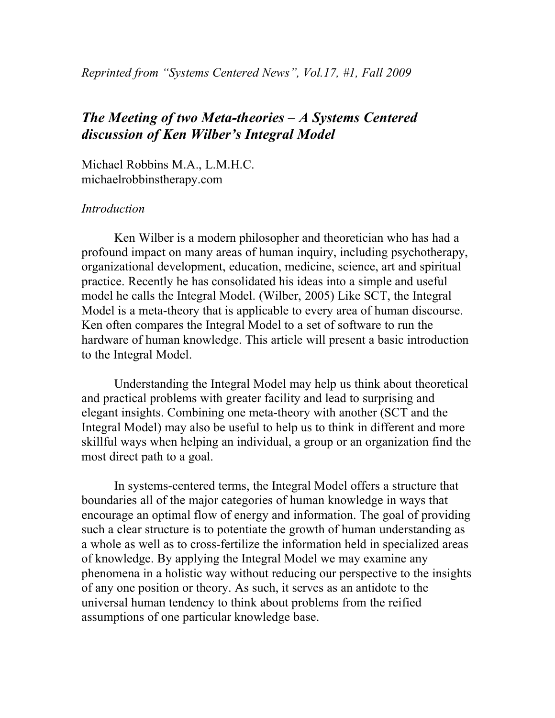# *The Meeting of two Meta-theories – A Systems Centered discussion of Ken Wilber's Integral Model*

Michael Robbins M.A., L.M.H.C. michaelrobbinstherapy.com

### *Introduction*

Ken Wilber is a modern philosopher and theoretician who has had a profound impact on many areas of human inquiry, including psychotherapy, organizational development, education, medicine, science, art and spiritual practice. Recently he has consolidated his ideas into a simple and useful model he calls the Integral Model. (Wilber, 2005) Like SCT, the Integral Model is a meta-theory that is applicable to every area of human discourse. Ken often compares the Integral Model to a set of software to run the hardware of human knowledge. This article will present a basic introduction to the Integral Model.

Understanding the Integral Model may help us think about theoretical and practical problems with greater facility and lead to surprising and elegant insights. Combining one meta-theory with another (SCT and the Integral Model) may also be useful to help us to think in different and more skillful ways when helping an individual, a group or an organization find the most direct path to a goal.

In systems-centered terms, the Integral Model offers a structure that boundaries all of the major categories of human knowledge in ways that encourage an optimal flow of energy and information. The goal of providing such a clear structure is to potentiate the growth of human understanding as a whole as well as to cross-fertilize the information held in specialized areas of knowledge. By applying the Integral Model we may examine any phenomena in a holistic way without reducing our perspective to the insights of any one position or theory. As such, it serves as an antidote to the universal human tendency to think about problems from the reified assumptions of one particular knowledge base.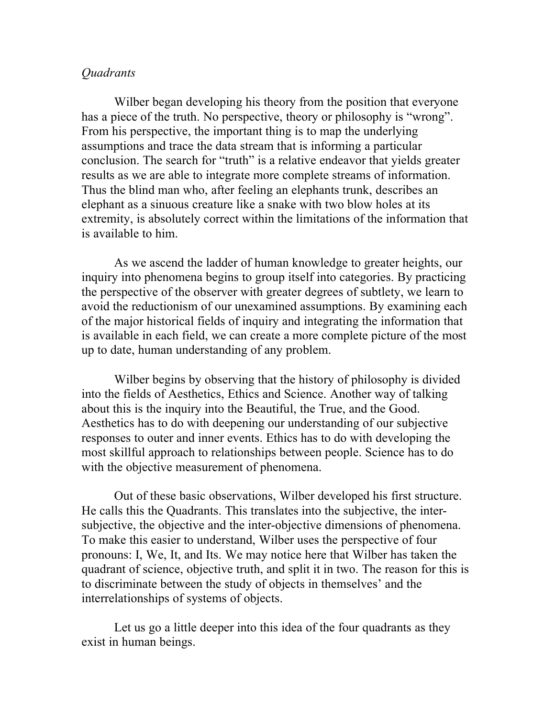### *Quadrants*

Wilber began developing his theory from the position that everyone has a piece of the truth. No perspective, theory or philosophy is "wrong". From his perspective, the important thing is to map the underlying assumptions and trace the data stream that is informing a particular conclusion. The search for "truth" is a relative endeavor that yields greater results as we are able to integrate more complete streams of information. Thus the blind man who, after feeling an elephants trunk, describes an elephant as a sinuous creature like a snake with two blow holes at its extremity, is absolutely correct within the limitations of the information that is available to him.

As we ascend the ladder of human knowledge to greater heights, our inquiry into phenomena begins to group itself into categories. By practicing the perspective of the observer with greater degrees of subtlety, we learn to avoid the reductionism of our unexamined assumptions. By examining each of the major historical fields of inquiry and integrating the information that is available in each field, we can create a more complete picture of the most up to date, human understanding of any problem.

Wilber begins by observing that the history of philosophy is divided into the fields of Aesthetics, Ethics and Science. Another way of talking about this is the inquiry into the Beautiful, the True, and the Good. Aesthetics has to do with deepening our understanding of our subjective responses to outer and inner events. Ethics has to do with developing the most skillful approach to relationships between people. Science has to do with the objective measurement of phenomena.

Out of these basic observations, Wilber developed his first structure. He calls this the Quadrants. This translates into the subjective, the intersubjective, the objective and the inter-objective dimensions of phenomena. To make this easier to understand, Wilber uses the perspective of four pronouns: I, We, It, and Its. We may notice here that Wilber has taken the quadrant of science, objective truth, and split it in two. The reason for this is to discriminate between the study of objects in themselves' and the interrelationships of systems of objects.

Let us go a little deeper into this idea of the four quadrants as they exist in human beings.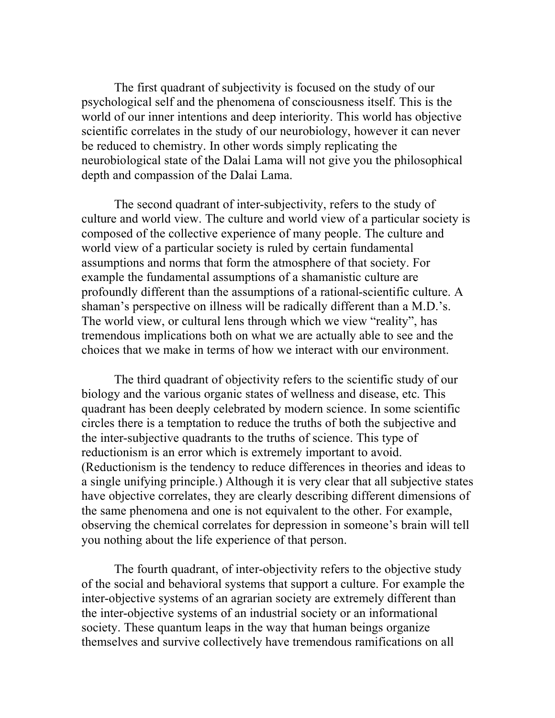The first quadrant of subjectivity is focused on the study of our psychological self and the phenomena of consciousness itself. This is the world of our inner intentions and deep interiority. This world has objective scientific correlates in the study of our neurobiology, however it can never be reduced to chemistry. In other words simply replicating the neurobiological state of the Dalai Lama will not give you the philosophical depth and compassion of the Dalai Lama.

The second quadrant of inter-subjectivity, refers to the study of culture and world view. The culture and world view of a particular society is composed of the collective experience of many people. The culture and world view of a particular society is ruled by certain fundamental assumptions and norms that form the atmosphere of that society. For example the fundamental assumptions of a shamanistic culture are profoundly different than the assumptions of a rational-scientific culture. A shaman's perspective on illness will be radically different than a M.D.'s. The world view, or cultural lens through which we view "reality", has tremendous implications both on what we are actually able to see and the choices that we make in terms of how we interact with our environment.

The third quadrant of objectivity refers to the scientific study of our biology and the various organic states of wellness and disease, etc. This quadrant has been deeply celebrated by modern science. In some scientific circles there is a temptation to reduce the truths of both the subjective and the inter-subjective quadrants to the truths of science. This type of reductionism is an error which is extremely important to avoid. (Reductionism is the tendency to reduce differences in theories and ideas to a single unifying principle.) Although it is very clear that all subjective states have objective correlates, they are clearly describing different dimensions of the same phenomena and one is not equivalent to the other. For example, observing the chemical correlates for depression in someone's brain will tell you nothing about the life experience of that person.

The fourth quadrant, of inter-objectivity refers to the objective study of the social and behavioral systems that support a culture. For example the inter-objective systems of an agrarian society are extremely different than the inter-objective systems of an industrial society or an informational society. These quantum leaps in the way that human beings organize themselves and survive collectively have tremendous ramifications on all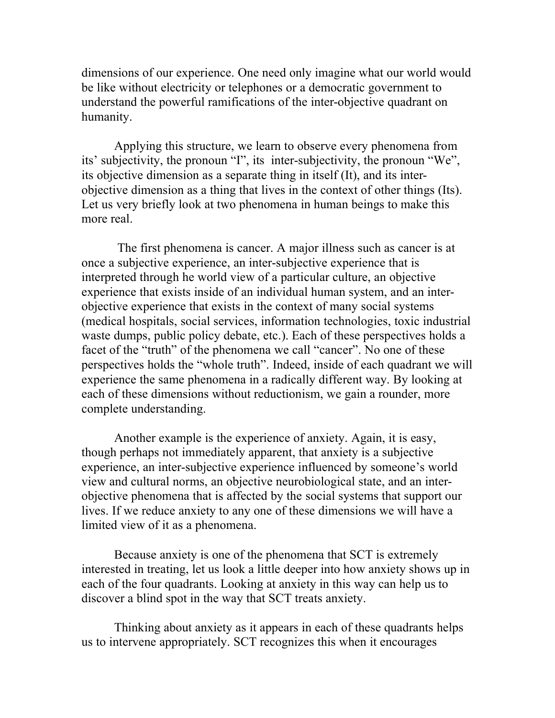dimensions of our experience. One need only imagine what our world would be like without electricity or telephones or a democratic government to understand the powerful ramifications of the inter-objective quadrant on humanity.

Applying this structure, we learn to observe every phenomena from its' subjectivity, the pronoun "I", its inter-subjectivity, the pronoun "We", its objective dimension as a separate thing in itself (It), and its interobjective dimension as a thing that lives in the context of other things (Its). Let us very briefly look at two phenomena in human beings to make this more real.

 The first phenomena is cancer. A major illness such as cancer is at once a subjective experience, an inter-subjective experience that is interpreted through he world view of a particular culture, an objective experience that exists inside of an individual human system, and an interobjective experience that exists in the context of many social systems (medical hospitals, social services, information technologies, toxic industrial waste dumps, public policy debate, etc.). Each of these perspectives holds a facet of the "truth" of the phenomena we call "cancer". No one of these perspectives holds the "whole truth". Indeed, inside of each quadrant we will experience the same phenomena in a radically different way. By looking at each of these dimensions without reductionism, we gain a rounder, more complete understanding.

Another example is the experience of anxiety. Again, it is easy, though perhaps not immediately apparent, that anxiety is a subjective experience, an inter-subjective experience influenced by someone's world view and cultural norms, an objective neurobiological state, and an interobjective phenomena that is affected by the social systems that support our lives. If we reduce anxiety to any one of these dimensions we will have a limited view of it as a phenomena.

Because anxiety is one of the phenomena that SCT is extremely interested in treating, let us look a little deeper into how anxiety shows up in each of the four quadrants. Looking at anxiety in this way can help us to discover a blind spot in the way that SCT treats anxiety.

Thinking about anxiety as it appears in each of these quadrants helps us to intervene appropriately. SCT recognizes this when it encourages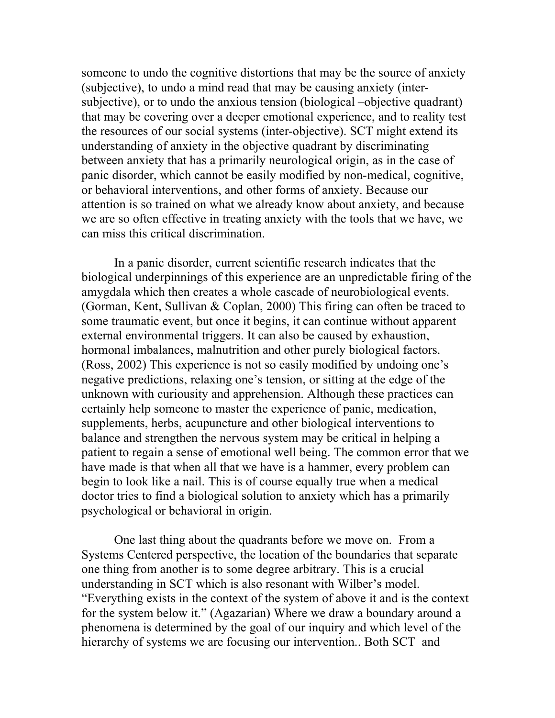someone to undo the cognitive distortions that may be the source of anxiety (subjective), to undo a mind read that may be causing anxiety (intersubjective), or to undo the anxious tension (biological –objective quadrant) that may be covering over a deeper emotional experience, and to reality test the resources of our social systems (inter-objective). SCT might extend its understanding of anxiety in the objective quadrant by discriminating between anxiety that has a primarily neurological origin, as in the case of panic disorder, which cannot be easily modified by non-medical, cognitive, or behavioral interventions, and other forms of anxiety. Because our attention is so trained on what we already know about anxiety, and because we are so often effective in treating anxiety with the tools that we have, we can miss this critical discrimination.

In a panic disorder, current scientific research indicates that the biological underpinnings of this experience are an unpredictable firing of the amygdala which then creates a whole cascade of neurobiological events. (Gorman, Kent, Sullivan & Coplan, 2000) This firing can often be traced to some traumatic event, but once it begins, it can continue without apparent external environmental triggers. It can also be caused by exhaustion, hormonal imbalances, malnutrition and other purely biological factors. (Ross, 2002) This experience is not so easily modified by undoing one's negative predictions, relaxing one's tension, or sitting at the edge of the unknown with curiousity and apprehension. Although these practices can certainly help someone to master the experience of panic, medication, supplements, herbs, acupuncture and other biological interventions to balance and strengthen the nervous system may be critical in helping a patient to regain a sense of emotional well being. The common error that we have made is that when all that we have is a hammer, every problem can begin to look like a nail. This is of course equally true when a medical doctor tries to find a biological solution to anxiety which has a primarily psychological or behavioral in origin.

One last thing about the quadrants before we move on. From a Systems Centered perspective, the location of the boundaries that separate one thing from another is to some degree arbitrary. This is a crucial understanding in SCT which is also resonant with Wilber's model. "Everything exists in the context of the system of above it and is the context for the system below it." (Agazarian) Where we draw a boundary around a phenomena is determined by the goal of our inquiry and which level of the hierarchy of systems we are focusing our intervention.. Both SCT and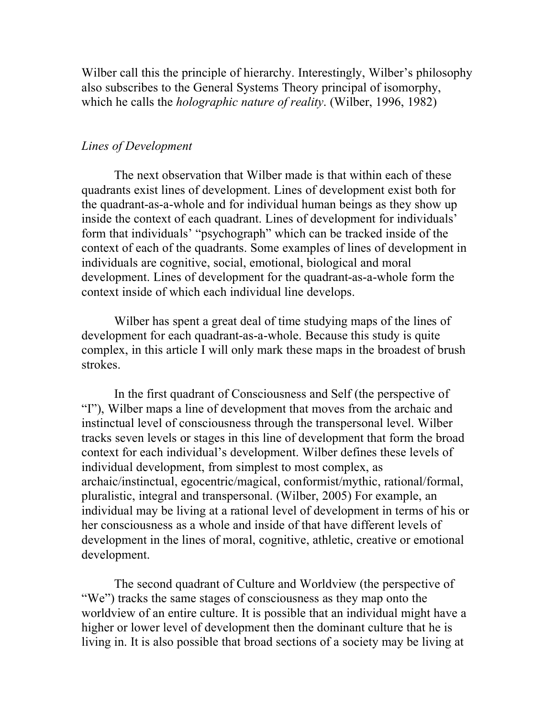Wilber call this the principle of hierarchy. Interestingly, Wilber's philosophy also subscribes to the General Systems Theory principal of isomorphy, which he calls the *holographic nature of reality*. (Wilber, 1996, 1982)

# *Lines of Development*

The next observation that Wilber made is that within each of these quadrants exist lines of development. Lines of development exist both for the quadrant-as-a-whole and for individual human beings as they show up inside the context of each quadrant. Lines of development for individuals' form that individuals' "psychograph" which can be tracked inside of the context of each of the quadrants. Some examples of lines of development in individuals are cognitive, social, emotional, biological and moral development. Lines of development for the quadrant-as-a-whole form the context inside of which each individual line develops.

Wilber has spent a great deal of time studying maps of the lines of development for each quadrant-as-a-whole. Because this study is quite complex, in this article I will only mark these maps in the broadest of brush strokes.

In the first quadrant of Consciousness and Self (the perspective of "I"), Wilber maps a line of development that moves from the archaic and instinctual level of consciousness through the transpersonal level. Wilber tracks seven levels or stages in this line of development that form the broad context for each individual's development. Wilber defines these levels of individual development, from simplest to most complex, as archaic/instinctual, egocentric/magical, conformist/mythic, rational/formal, pluralistic, integral and transpersonal. (Wilber, 2005) For example, an individual may be living at a rational level of development in terms of his or her consciousness as a whole and inside of that have different levels of development in the lines of moral, cognitive, athletic, creative or emotional development.

The second quadrant of Culture and Worldview (the perspective of "We") tracks the same stages of consciousness as they map onto the worldview of an entire culture. It is possible that an individual might have a higher or lower level of development then the dominant culture that he is living in. It is also possible that broad sections of a society may be living at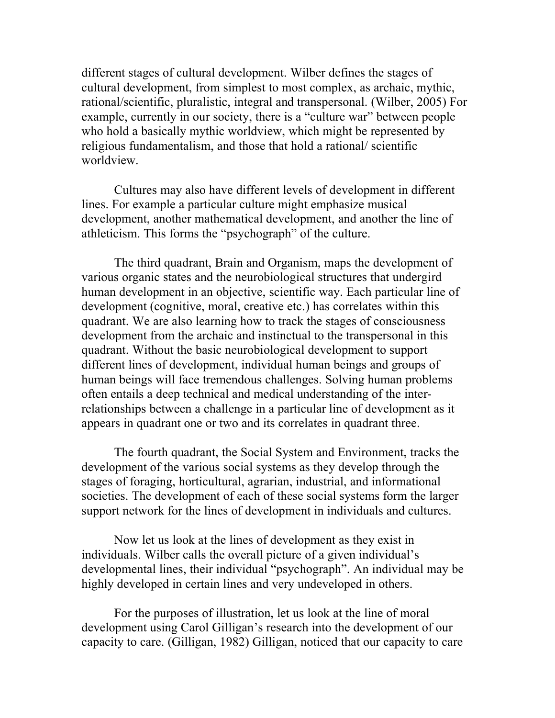different stages of cultural development. Wilber defines the stages of cultural development, from simplest to most complex, as archaic, mythic, rational/scientific, pluralistic, integral and transpersonal. (Wilber, 2005) For example, currently in our society, there is a "culture war" between people who hold a basically mythic worldview, which might be represented by religious fundamentalism, and those that hold a rational/ scientific worldview.

Cultures may also have different levels of development in different lines. For example a particular culture might emphasize musical development, another mathematical development, and another the line of athleticism. This forms the "psychograph" of the culture.

The third quadrant, Brain and Organism, maps the development of various organic states and the neurobiological structures that undergird human development in an objective, scientific way. Each particular line of development (cognitive, moral, creative etc.) has correlates within this quadrant. We are also learning how to track the stages of consciousness development from the archaic and instinctual to the transpersonal in this quadrant. Without the basic neurobiological development to support different lines of development, individual human beings and groups of human beings will face tremendous challenges. Solving human problems often entails a deep technical and medical understanding of the interrelationships between a challenge in a particular line of development as it appears in quadrant one or two and its correlates in quadrant three.

The fourth quadrant, the Social System and Environment, tracks the development of the various social systems as they develop through the stages of foraging, horticultural, agrarian, industrial, and informational societies. The development of each of these social systems form the larger support network for the lines of development in individuals and cultures.

Now let us look at the lines of development as they exist in individuals. Wilber calls the overall picture of a given individual's developmental lines, their individual "psychograph". An individual may be highly developed in certain lines and very undeveloped in others.

For the purposes of illustration, let us look at the line of moral development using Carol Gilligan's research into the development of our capacity to care. (Gilligan, 1982) Gilligan, noticed that our capacity to care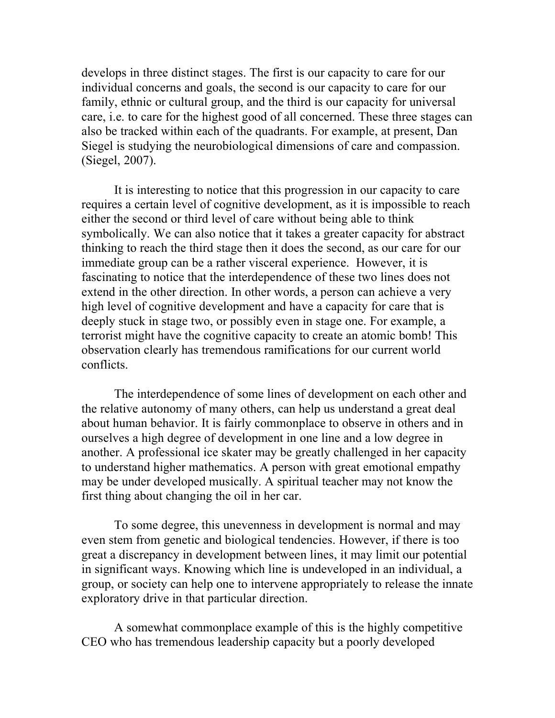develops in three distinct stages. The first is our capacity to care for our individual concerns and goals, the second is our capacity to care for our family, ethnic or cultural group, and the third is our capacity for universal care, i.e. to care for the highest good of all concerned. These three stages can also be tracked within each of the quadrants. For example, at present, Dan Siegel is studying the neurobiological dimensions of care and compassion. (Siegel, 2007).

It is interesting to notice that this progression in our capacity to care requires a certain level of cognitive development, as it is impossible to reach either the second or third level of care without being able to think symbolically. We can also notice that it takes a greater capacity for abstract thinking to reach the third stage then it does the second, as our care for our immediate group can be a rather visceral experience. However, it is fascinating to notice that the interdependence of these two lines does not extend in the other direction. In other words, a person can achieve a very high level of cognitive development and have a capacity for care that is deeply stuck in stage two, or possibly even in stage one. For example, a terrorist might have the cognitive capacity to create an atomic bomb! This observation clearly has tremendous ramifications for our current world conflicts.

The interdependence of some lines of development on each other and the relative autonomy of many others, can help us understand a great deal about human behavior. It is fairly commonplace to observe in others and in ourselves a high degree of development in one line and a low degree in another. A professional ice skater may be greatly challenged in her capacity to understand higher mathematics. A person with great emotional empathy may be under developed musically. A spiritual teacher may not know the first thing about changing the oil in her car.

To some degree, this unevenness in development is normal and may even stem from genetic and biological tendencies. However, if there is too great a discrepancy in development between lines, it may limit our potential in significant ways. Knowing which line is undeveloped in an individual, a group, or society can help one to intervene appropriately to release the innate exploratory drive in that particular direction.

A somewhat commonplace example of this is the highly competitive CEO who has tremendous leadership capacity but a poorly developed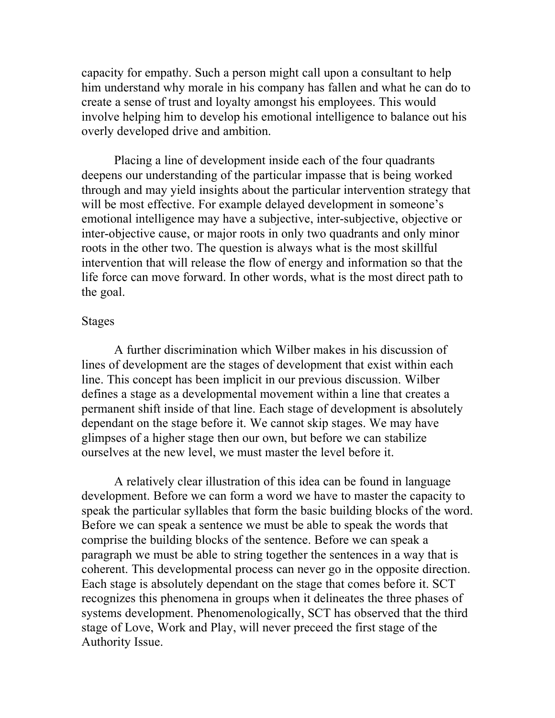capacity for empathy. Such a person might call upon a consultant to help him understand why morale in his company has fallen and what he can do to create a sense of trust and loyalty amongst his employees. This would involve helping him to develop his emotional intelligence to balance out his overly developed drive and ambition.

Placing a line of development inside each of the four quadrants deepens our understanding of the particular impasse that is being worked through and may yield insights about the particular intervention strategy that will be most effective. For example delayed development in someone's emotional intelligence may have a subjective, inter-subjective, objective or inter-objective cause, or major roots in only two quadrants and only minor roots in the other two. The question is always what is the most skillful intervention that will release the flow of energy and information so that the life force can move forward. In other words, what is the most direct path to the goal.

#### Stages

A further discrimination which Wilber makes in his discussion of lines of development are the stages of development that exist within each line. This concept has been implicit in our previous discussion. Wilber defines a stage as a developmental movement within a line that creates a permanent shift inside of that line. Each stage of development is absolutely dependant on the stage before it. We cannot skip stages. We may have glimpses of a higher stage then our own, but before we can stabilize ourselves at the new level, we must master the level before it.

A relatively clear illustration of this idea can be found in language development. Before we can form a word we have to master the capacity to speak the particular syllables that form the basic building blocks of the word. Before we can speak a sentence we must be able to speak the words that comprise the building blocks of the sentence. Before we can speak a paragraph we must be able to string together the sentences in a way that is coherent. This developmental process can never go in the opposite direction. Each stage is absolutely dependant on the stage that comes before it. SCT recognizes this phenomena in groups when it delineates the three phases of systems development. Phenomenologically, SCT has observed that the third stage of Love, Work and Play, will never preceed the first stage of the Authority Issue.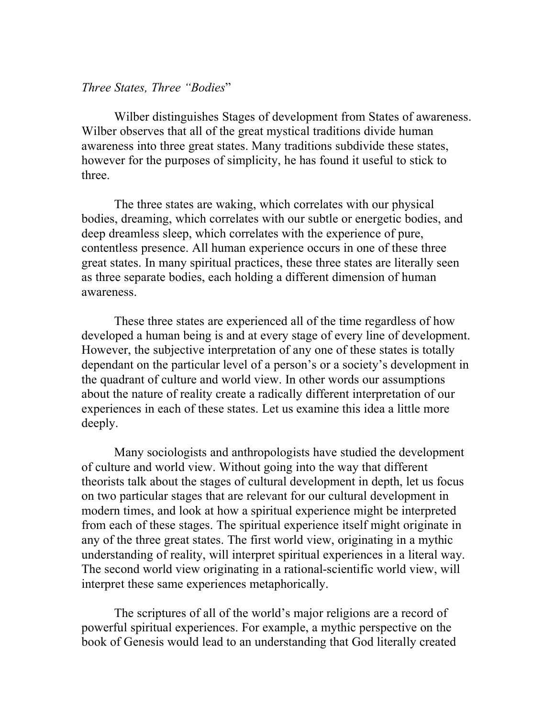### *Three States, Three "Bodies*"

Wilber distinguishes Stages of development from States of awareness. Wilber observes that all of the great mystical traditions divide human awareness into three great states. Many traditions subdivide these states, however for the purposes of simplicity, he has found it useful to stick to three.

The three states are waking, which correlates with our physical bodies, dreaming, which correlates with our subtle or energetic bodies, and deep dreamless sleep, which correlates with the experience of pure, contentless presence. All human experience occurs in one of these three great states. In many spiritual practices, these three states are literally seen as three separate bodies, each holding a different dimension of human awareness.

These three states are experienced all of the time regardless of how developed a human being is and at every stage of every line of development. However, the subjective interpretation of any one of these states is totally dependant on the particular level of a person's or a society's development in the quadrant of culture and world view. In other words our assumptions about the nature of reality create a radically different interpretation of our experiences in each of these states. Let us examine this idea a little more deeply.

Many sociologists and anthropologists have studied the development of culture and world view. Without going into the way that different theorists talk about the stages of cultural development in depth, let us focus on two particular stages that are relevant for our cultural development in modern times, and look at how a spiritual experience might be interpreted from each of these stages. The spiritual experience itself might originate in any of the three great states. The first world view, originating in a mythic understanding of reality, will interpret spiritual experiences in a literal way. The second world view originating in a rational-scientific world view, will interpret these same experiences metaphorically.

The scriptures of all of the world's major religions are a record of powerful spiritual experiences. For example, a mythic perspective on the book of Genesis would lead to an understanding that God literally created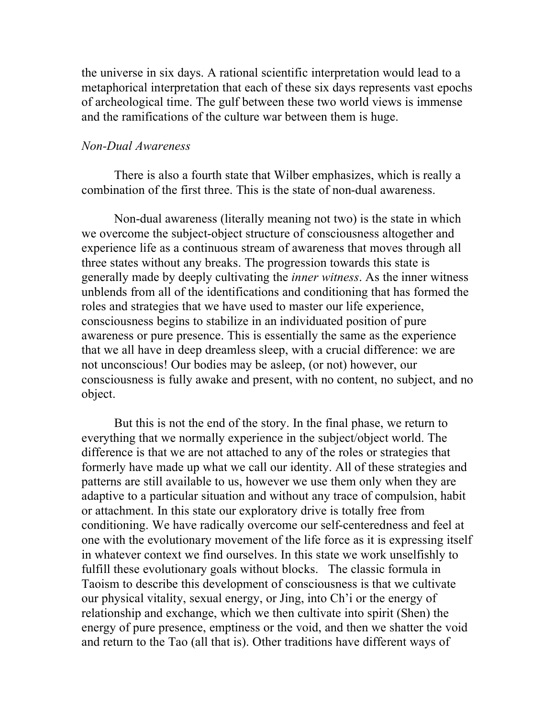the universe in six days. A rational scientific interpretation would lead to a metaphorical interpretation that each of these six days represents vast epochs of archeological time. The gulf between these two world views is immense and the ramifications of the culture war between them is huge.

# *Non-Dual Awareness*

There is also a fourth state that Wilber emphasizes, which is really a combination of the first three. This is the state of non-dual awareness.

Non-dual awareness (literally meaning not two) is the state in which we overcome the subject-object structure of consciousness altogether and experience life as a continuous stream of awareness that moves through all three states without any breaks. The progression towards this state is generally made by deeply cultivating the *inner witness*. As the inner witness unblends from all of the identifications and conditioning that has formed the roles and strategies that we have used to master our life experience, consciousness begins to stabilize in an individuated position of pure awareness or pure presence. This is essentially the same as the experience that we all have in deep dreamless sleep, with a crucial difference: we are not unconscious! Our bodies may be asleep, (or not) however, our consciousness is fully awake and present, with no content, no subject, and no object.

But this is not the end of the story. In the final phase, we return to everything that we normally experience in the subject/object world. The difference is that we are not attached to any of the roles or strategies that formerly have made up what we call our identity. All of these strategies and patterns are still available to us, however we use them only when they are adaptive to a particular situation and without any trace of compulsion, habit or attachment. In this state our exploratory drive is totally free from conditioning. We have radically overcome our self-centeredness and feel at one with the evolutionary movement of the life force as it is expressing itself in whatever context we find ourselves. In this state we work unselfishly to fulfill these evolutionary goals without blocks. The classic formula in Taoism to describe this development of consciousness is that we cultivate our physical vitality, sexual energy, or Jing, into Ch'i or the energy of relationship and exchange, which we then cultivate into spirit (Shen) the energy of pure presence, emptiness or the void, and then we shatter the void and return to the Tao (all that is). Other traditions have different ways of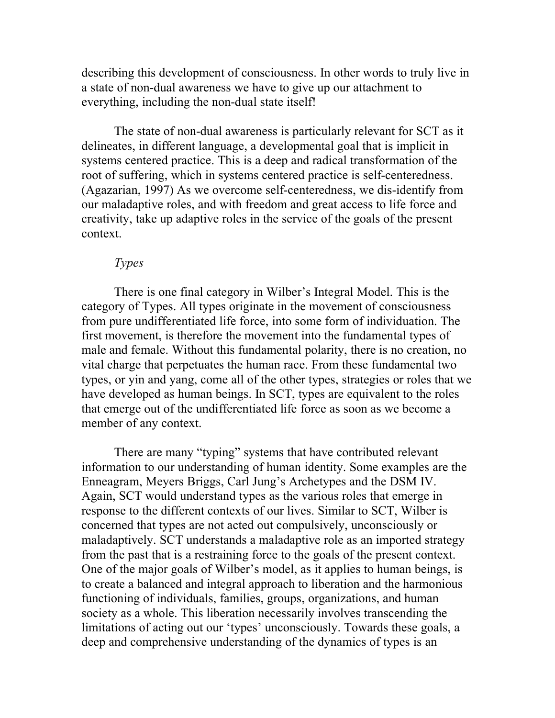describing this development of consciousness. In other words to truly live in a state of non-dual awareness we have to give up our attachment to everything, including the non-dual state itself!

The state of non-dual awareness is particularly relevant for SCT as it delineates, in different language, a developmental goal that is implicit in systems centered practice. This is a deep and radical transformation of the root of suffering, which in systems centered practice is self-centeredness. (Agazarian, 1997) As we overcome self-centeredness, we dis-identify from our maladaptive roles, and with freedom and great access to life force and creativity, take up adaptive roles in the service of the goals of the present context.

### *Types*

There is one final category in Wilber's Integral Model. This is the category of Types. All types originate in the movement of consciousness from pure undifferentiated life force, into some form of individuation. The first movement, is therefore the movement into the fundamental types of male and female. Without this fundamental polarity, there is no creation, no vital charge that perpetuates the human race. From these fundamental two types, or yin and yang, come all of the other types, strategies or roles that we have developed as human beings. In SCT, types are equivalent to the roles that emerge out of the undifferentiated life force as soon as we become a member of any context.

There are many "typing" systems that have contributed relevant information to our understanding of human identity. Some examples are the Enneagram, Meyers Briggs, Carl Jung's Archetypes and the DSM IV. Again, SCT would understand types as the various roles that emerge in response to the different contexts of our lives. Similar to SCT, Wilber is concerned that types are not acted out compulsively, unconsciously or maladaptively. SCT understands a maladaptive role as an imported strategy from the past that is a restraining force to the goals of the present context. One of the major goals of Wilber's model, as it applies to human beings, is to create a balanced and integral approach to liberation and the harmonious functioning of individuals, families, groups, organizations, and human society as a whole. This liberation necessarily involves transcending the limitations of acting out our 'types' unconsciously. Towards these goals, a deep and comprehensive understanding of the dynamics of types is an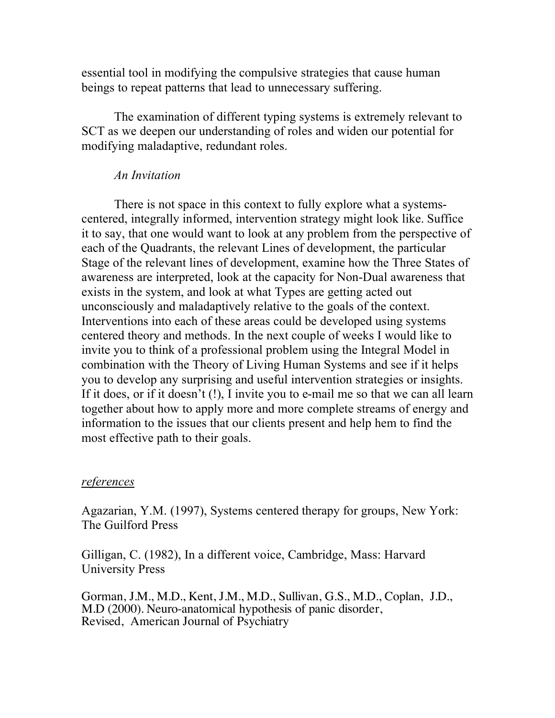essential tool in modifying the compulsive strategies that cause human beings to repeat patterns that lead to unnecessary suffering.

The examination of different typing systems is extremely relevant to SCT as we deepen our understanding of roles and widen our potential for modifying maladaptive, redundant roles.

# *An Invitation*

There is not space in this context to fully explore what a systemscentered, integrally informed, intervention strategy might look like. Suffice it to say, that one would want to look at any problem from the perspective of each of the Quadrants, the relevant Lines of development, the particular Stage of the relevant lines of development, examine how the Three States of awareness are interpreted, look at the capacity for Non-Dual awareness that exists in the system, and look at what Types are getting acted out unconsciously and maladaptively relative to the goals of the context. Interventions into each of these areas could be developed using systems centered theory and methods. In the next couple of weeks I would like to invite you to think of a professional problem using the Integral Model in combination with the Theory of Living Human Systems and see if it helps you to develop any surprising and useful intervention strategies or insights. If it does, or if it doesn't (!), I invite you to e-mail me so that we can all learn together about how to apply more and more complete streams of energy and information to the issues that our clients present and help hem to find the most effective path to their goals.

### *references*

Agazarian, Y.M. (1997), Systems centered therapy for groups, New York: The Guilford Press

Gilligan, C. (1982), In a different voice, Cambridge, Mass: Harvard University Press

Gorman, J.M., M.D., Kent, J.M., M.D., Sullivan, G.S., M.D., Coplan, J.D., M.D (2000). Neuro-anatomical hypothesis of panic disorder, Revised, American Journal of Psychiatry